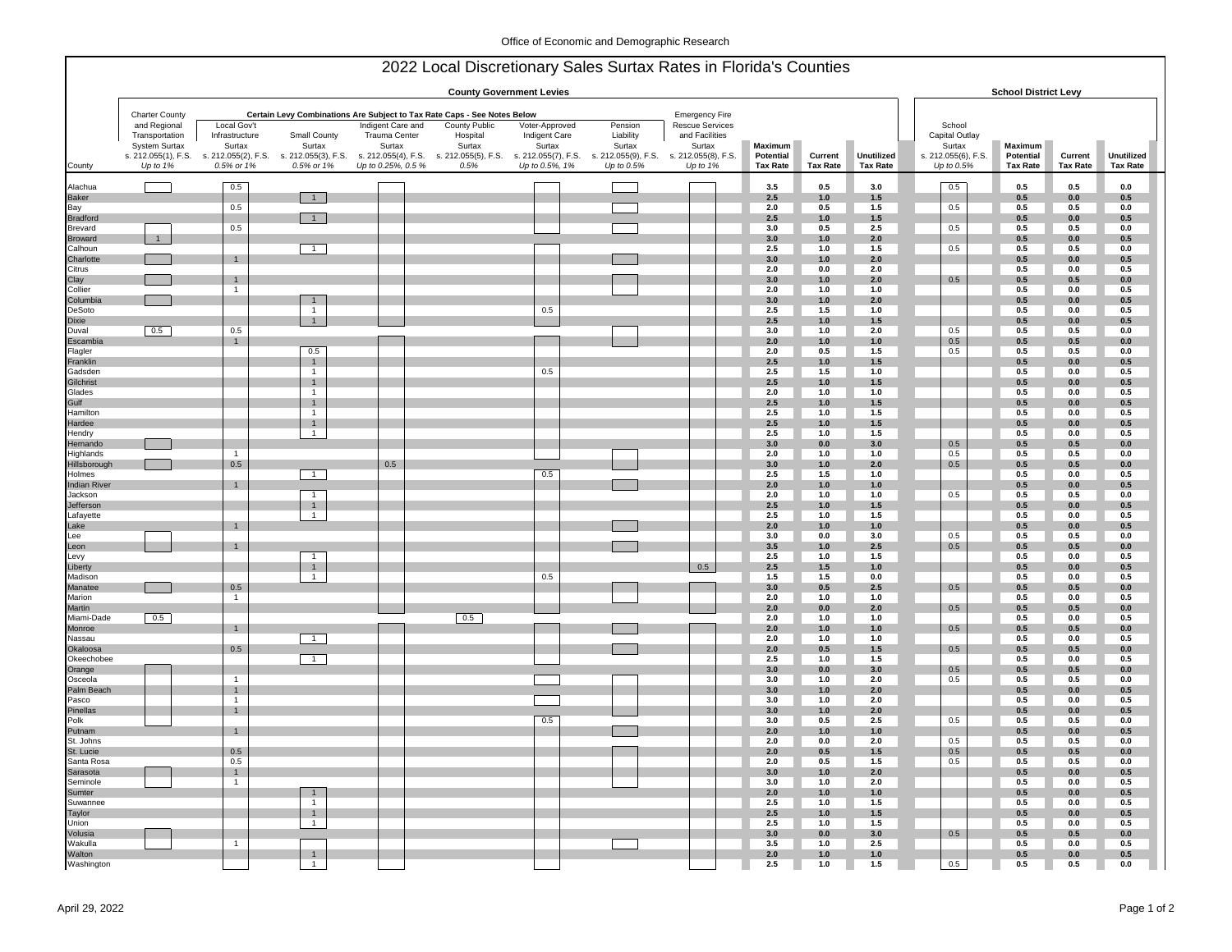|                                | <b>County Government Levies</b> |                               |                                  |                                                                                                                                               |                                  |                                 |                                                       |                                          |                      |                 | <b>School District Levy</b> |                                   |                      |                       |                    |
|--------------------------------|---------------------------------|-------------------------------|----------------------------------|-----------------------------------------------------------------------------------------------------------------------------------------------|----------------------------------|---------------------------------|-------------------------------------------------------|------------------------------------------|----------------------|-----------------|-----------------------------|-----------------------------------|----------------------|-----------------------|--------------------|
|                                | <b>Charter County</b>           |                               |                                  | Certain Levy Combinations Are Subject to Tax Rate Caps - See Notes Below                                                                      |                                  |                                 |                                                       | <b>Emergency Fire</b>                    |                      |                 |                             |                                   |                      |                       |                    |
|                                | and Regional<br>Transportation  | Local Gov't<br>Infrastructure | Small County                     | Indigent Care and<br>Trauma Center                                                                                                            | <b>County Public</b><br>Hospital | Voter-Approved<br>Indigent Care | Pension<br>Liability                                  | <b>Rescue Services</b><br>and Facilities |                      |                 |                             | School<br>Capital Outlay          |                      |                       |                    |
|                                | <b>System Surtax</b>            | Surtax                        | Surtax                           | Surtax                                                                                                                                        | Surtax                           | Surtax                          | Surtax                                                | Surtax                                   | Maximum<br>Potential | Current         | Unutilized                  | Surtax                            | Maximum<br>Potential | Current               | Unutilized         |
| County                         | Up to $1%$                      | 0.5% or 1%                    | 0.5% or 1%                       | s. 212.055(1), F.S. s. 212.055(2), F.S. s. 212.055(3), F.S. s. 212.055(4), F.S. s. 212.055(5), F.S. s. 212.055(7), F.S.<br>Up to 0.25%, 0.5 % | 0.5%                             | Up to 0.5%, 1%                  | s. 212.055(9), F.S. s. 212.055(8), F.S.<br>Up to 0.5% | Up to 1%                                 | <b>Tax Rate</b>      | <b>Tax Rate</b> | <b>Tax Rate</b>             | s. 212.055(6), F.S.<br>Up to 0.5% | <b>Tax Rate</b>      | <b>Tax Rate</b>       | <b>Tax Rate</b>    |
| Alachua                        |                                 | 0.5                           |                                  |                                                                                                                                               |                                  |                                 |                                                       |                                          | 3.5                  | 0.5             | 3.0                         | 0.5                               | 0.5                  | 0.5                   | 0.0                |
| Baker                          |                                 |                               | $\overline{1}$                   |                                                                                                                                               |                                  |                                 |                                                       |                                          | 2.5                  | 1.0             | 1.5                         |                                   | 0.5                  | $\mathbf{0.0}$        | 0.5                |
| Bay<br>Bradford                |                                 | 0.5                           | $\overline{1}$                   |                                                                                                                                               |                                  |                                 |                                                       |                                          | 2.0<br>2.5           | 0.5<br>1.0      | 1.5<br>$1.5$                | 0.5                               | 0.5<br>0.5           | 0.5<br>0.0            | 0.0<br>0.5         |
| Brevard                        |                                 | 0.5                           |                                  |                                                                                                                                               |                                  |                                 |                                                       |                                          | 3.0                  | 0.5             | 2.5                         | 0.5                               | 0.5                  | 0.5                   | 0.0                |
| <b>Broward</b>                 | $\mathbf{1}$                    |                               |                                  |                                                                                                                                               |                                  |                                 |                                                       |                                          | 3.0                  | 1.0             | 2.0                         |                                   | 0.5                  | 0.0                   | 0.5                |
| Calhoun<br>Charlotte           |                                 | $\overline{1}$                | $\overline{1}$                   |                                                                                                                                               |                                  |                                 |                                                       |                                          | 2.5<br>3.0           | 1.0<br>1.0      | 1.5<br>2.0                  | 0.5                               | 0.5<br>0.5           | 0.5<br>0.0            | 0.0<br>0.5         |
| Citrus                         |                                 |                               |                                  |                                                                                                                                               |                                  |                                 |                                                       |                                          | 2.0                  | 0.0             | 2.0                         |                                   | 0.5                  | 0.0                   | 0.5                |
| Clay                           |                                 | $\mathbf{1}$                  |                                  |                                                                                                                                               |                                  |                                 |                                                       |                                          | 3.0                  | 1.0             | 2.0                         | $0.5\,$                           | 0.5                  | 0.5                   | 0.0                |
| Collier                        |                                 | $\mathbf{1}$                  |                                  |                                                                                                                                               |                                  |                                 |                                                       |                                          | 2.0<br>3.0           | 1.0<br>1.0      | 1.0                         |                                   | 0.5<br>$0.5\,$       | 0.0<br>$0.0\,$        | 0.5                |
| Columbia<br>DeSoto             |                                 |                               | 1<br>$\mathbf{1}$                |                                                                                                                                               |                                  | 0.5                             |                                                       |                                          | 2.5                  | $1.5$           | 2.0<br>$1.0$                |                                   | 0.5                  | 0.0                   | 0.5<br>0.5         |
| Dixie                          |                                 |                               | $\mathbf{1}$                     |                                                                                                                                               |                                  |                                 |                                                       |                                          | 2.5                  | 1.0             | 1.5                         |                                   | 0.5                  | 0.0                   | 0.5                |
| Duval                          | 0.5                             | 0.5                           |                                  |                                                                                                                                               |                                  |                                 |                                                       |                                          | 3.0<br>2.0           | $1.0$           | $2.0\,$                     | 0.5                               | 0.5<br>0.5           | 0.5<br>0.5            | $0.0\,$            |
| Escambia<br>Flagler            |                                 | $\overline{1}$                | 0.5                              |                                                                                                                                               |                                  |                                 |                                                       |                                          | 2.0                  | 1.0<br>0.5      | $1.0$<br>1.5                | $0.5\,$<br>0.5                    | 0.5                  | 0.5                   | 0.0<br>$0.0\,$     |
| Franklin                       |                                 |                               | $\overline{1}$                   |                                                                                                                                               |                                  |                                 |                                                       |                                          | 2.5                  | 1.0             | 1.5                         |                                   | 0.5                  | 0.0                   | 0.5                |
| Gadsden                        |                                 |                               | $\mathbf{1}$                     |                                                                                                                                               |                                  | 0.5                             |                                                       |                                          | 2.5                  | $1.5$           | 1.0                         |                                   | 0.5                  | 0.0                   | 0.5                |
| Gilchrist<br>Glades            |                                 |                               | $\overline{1}$<br>$\mathbf{1}$   |                                                                                                                                               |                                  |                                 |                                                       |                                          | 2.5<br>2.0           | $1.0$<br>$1.0$  | 1.5<br>$1.0$                |                                   | 0.5<br>$0.5\,$       | 0.0<br>0.0            | 0.5<br>0.5         |
| Gulf                           |                                 |                               | $\overline{1}$                   |                                                                                                                                               |                                  |                                 |                                                       |                                          | 2.5                  | $1.0$           | $1.5$                       |                                   | $0.5\,$              | $0.0\,$               | 0.5                |
| Hamilton                       |                                 |                               | $\overline{1}$                   |                                                                                                                                               |                                  |                                 |                                                       |                                          | 2.5                  | 1.0             | 1.5                         |                                   | 0.5                  | 0.0                   | 0.5                |
| Hardee<br>Hendry               |                                 |                               | $\overline{1}$<br>$\overline{1}$ |                                                                                                                                               |                                  |                                 |                                                       |                                          | 2.5<br>2.5           | $1.0$<br>1.0    | $1.5$<br>1.5                |                                   | 0.5<br>0.5           | 0.0<br>0.0            | 0.5<br>0.5         |
| Hernando<br>Highlands          |                                 |                               |                                  |                                                                                                                                               |                                  |                                 |                                                       |                                          | 3.0                  | 0.0             | 3.0                         | 0.5                               | 0.5                  | 0.5                   | 0.0                |
|                                |                                 | $\overline{1}$                |                                  |                                                                                                                                               |                                  |                                 |                                                       |                                          | 2.0                  | 1.0             | 1.0                         | 0.5                               | 0.5                  | 0.5                   | 0.0                |
| Hillsborough<br>Holmes         |                                 | 0.5                           | $\overline{1}$                   | 0.5                                                                                                                                           |                                  | 0.5                             |                                                       |                                          | 3.0<br>2.5           | 1.0<br>1.5      | 2.0<br>1.0                  | 0.5                               | 0.5<br>0.5           | 0.5<br>0.0            | 0.0<br>0.5         |
| <b>Indian River</b>            |                                 | $\overline{1}$                |                                  |                                                                                                                                               |                                  |                                 |                                                       |                                          | 2.0                  | 1.0             | 1.0                         |                                   | 0.5                  | 0.0                   | 0.5                |
| Jackson                        |                                 |                               | $\overline{1}$                   |                                                                                                                                               |                                  |                                 |                                                       |                                          | 2.0                  | $1.0\,$         | 1.0                         | 0.5                               | 0.5                  | 0.5                   | 0.0                |
| Jefferson<br>Lafayette         |                                 |                               | $\overline{1}$<br>$\mathbf{1}$   |                                                                                                                                               |                                  |                                 |                                                       |                                          | 2.5<br>2.5           | 1.0<br>$1.0$    | 1.5<br>1.5                  |                                   | 0.5<br>$0.5\,$       | 0.0<br>$\mathbf{0.0}$ | 0.5<br>0.5         |
| Lake                           |                                 | $\overline{1}$                |                                  |                                                                                                                                               |                                  |                                 |                                                       |                                          | 2.0                  | $1.0$           | $1.0$                       |                                   | 0.5                  | 0.0                   | 0.5                |
| Lee<br>Leon<br>Levy<br>Liberty |                                 |                               |                                  |                                                                                                                                               |                                  |                                 |                                                       |                                          | 3.0                  | $\mathbf{0.0}$  | 3.0                         | 0.5                               | 0.5                  | $0.5\,$               | $0.0\,$            |
|                                |                                 | $\overline{1}$                | $\overline{1}$                   |                                                                                                                                               |                                  |                                 |                                                       |                                          | 3.5<br>2.5           | 1.0<br>1.0      | 2.5<br>$1.5$                | 0.5                               | 0.5<br>0.5           | 0.5<br>0.0            | $0.0\,$<br>0.5     |
|                                |                                 |                               | $\overline{1}$                   |                                                                                                                                               |                                  |                                 |                                                       | 0.5                                      | 2.5                  | 1.5             | $1.0$                       |                                   | 0.5                  | $0.0\,$               | 0.5                |
| Madison                        |                                 |                               | $\overline{1}$                   |                                                                                                                                               |                                  | 0.5                             |                                                       |                                          | 1.5                  | 1.5             | $0.0\,$                     |                                   | 0.5                  | 0.0                   | 0.5                |
| Manatee<br>Marion              |                                 | 0.5<br>$\overline{1}$         |                                  |                                                                                                                                               |                                  |                                 |                                                       |                                          | 3.0<br>2.0           | 0.5<br>$1.0$    | 2.5<br>$1.0$                | 0.5                               | $0.5\,$<br>0.5       | 0.5<br>$0.0\,$        | $0.0\,$<br>0.5     |
| Martin                         |                                 |                               |                                  |                                                                                                                                               |                                  |                                 |                                                       |                                          | $2.0\,$              | $0.0\,$         | 2.0                         | $0.5\,$                           | 0.5                  | 0.5                   | 0.0                |
| Miami-Dade                     | 0.5                             |                               |                                  |                                                                                                                                               | 0.5                              |                                 |                                                       |                                          | 2.0                  | $1.0\,$         | $1.0$                       |                                   | 0.5                  | $0.0\,$               | 0.5                |
| Monroe<br>Nassau               |                                 | $\overline{1}$                | $\overline{1}$                   |                                                                                                                                               |                                  |                                 |                                                       |                                          | 2.0<br>2.0           | 1.0<br>1.0      | $1.0$<br>$1.0$              | 0.5                               | 0.5<br>0.5           | 0.5<br>0.0            | 0.0<br>0.5         |
| Okaloosa                       |                                 | 0.5                           |                                  |                                                                                                                                               |                                  |                                 |                                                       |                                          | 2.0                  | 0.5             | 1.5                         | 0.5                               | 0.5                  | 0.5                   | 0.0                |
| Okeechobee                     |                                 |                               | $\overline{1}$                   |                                                                                                                                               |                                  |                                 |                                                       |                                          | 2.5                  | 1.0             | $1.5$                       |                                   | 0.5                  | 0.0                   | 0.5                |
| Orange<br>Osceola              |                                 | $\overline{1}$                |                                  |                                                                                                                                               |                                  |                                 |                                                       |                                          | 3.0<br>3.0           | 0.0<br>1.0      | 3.0<br>2.0                  | 0.5<br>0.5                        | 0.5<br>0.5           | 0.5<br>0.5            | 0.0<br>0.0         |
| Palm Beach                     |                                 | $\mathbf{1}$                  |                                  |                                                                                                                                               |                                  |                                 |                                                       |                                          | 3.0                  | 1.0             | 2.0                         |                                   | 0.5                  | 0.0                   | 0.5                |
| Pasco                          |                                 | $\overline{1}$                |                                  |                                                                                                                                               |                                  |                                 |                                                       |                                          | 3.0                  | $1.0$           | 2.0                         |                                   | 0.5                  | 0.0                   | 0.5                |
| Pinellas<br>Polk               |                                 | $\mathbf{1}$                  |                                  |                                                                                                                                               |                                  | 0.5                             |                                                       |                                          | 3.0<br>3.0           | 1.0<br>0.5      | 2.0<br>2.5                  | 0.5                               | 0.5<br>0.5           | 0.0<br>0.5            | 0.5<br>$0.0\,$     |
| Putnam                         |                                 | $\overline{1}$                |                                  |                                                                                                                                               |                                  |                                 |                                                       |                                          | 2.0                  | $1.0$           | $1.0$                       |                                   | 0.5                  | $0.0\,$               | 0.5                |
| St. Johns                      |                                 |                               |                                  |                                                                                                                                               |                                  |                                 |                                                       |                                          | 2.0                  | 0.0             | 2.0                         | 0.5                               | 0.5                  | 0.5                   | 0.0                |
| St. Lucie<br>Santa Rosa        |                                 | 0.5<br>0.5                    |                                  |                                                                                                                                               |                                  |                                 |                                                       |                                          | $2.0\,$<br>2.0       | 0.5<br>0.5      | 1.5<br>1.5                  | 0.5<br>0.5                        | $0.5\,$<br>0.5       | 0.5<br>$0.5\,$        | $0.0\,$<br>$0.0\,$ |
|                                |                                 | $\overline{1}$                |                                  |                                                                                                                                               |                                  |                                 |                                                       |                                          | 3.0                  | $1.0$           | $2.0\,$                     |                                   | $0.5\,$              | $0.0\,$               | 0.5                |
| Sarasota<br>Seminole           |                                 | $\overline{1}$                |                                  |                                                                                                                                               |                                  |                                 |                                                       |                                          | 3.0                  | $1.0$           | $2.0\,$                     |                                   | 0.5                  | 0.0                   | 0.5                |
| Sumter<br>Suwannee             |                                 |                               | $\overline{1}$<br>1              |                                                                                                                                               |                                  |                                 |                                                       |                                          | 2.0<br>2.5           | $1.0$<br>1.0    | $1.0$<br>1.5                |                                   | $0.5\,$<br>0.5       | $0.0\,$<br>0.0        | 0.5<br>0.5         |
| Taylor                         |                                 |                               | $\overline{1}$                   |                                                                                                                                               |                                  |                                 |                                                       |                                          | 2.5                  | $1.0$           | $1.5$                       |                                   | $0.5\,$              | 0.0                   | 0.5                |
| Union                          |                                 |                               | 1                                |                                                                                                                                               |                                  |                                 |                                                       |                                          | 2.5                  | 1.0             | 1.5                         |                                   | 0.5                  | 0.0                   | 0.5                |
| Volusia<br>Wakulla             |                                 | $\mathbf{1}$                  |                                  |                                                                                                                                               |                                  |                                 |                                                       |                                          | 3.0<br>3.5           | 0.0<br>1.0      | 3.0<br>2.5                  | 0.5                               | 0.5<br>0.5           | 0.5<br>0.0            | 0.0<br>0.5         |
| Walton                         |                                 |                               | $\overline{1}$                   |                                                                                                                                               |                                  |                                 |                                                       |                                          | 2.0                  | 1.0             | $1.0$                       |                                   | 0.5                  | 0.0                   | 0.5                |
| Washington                     |                                 |                               | $\mathbf{1}$                     |                                                                                                                                               |                                  |                                 |                                                       |                                          | 2.5                  | 1.0             | 1.5                         | 0.5                               | 0.5                  | 0.5                   | 0.0                |